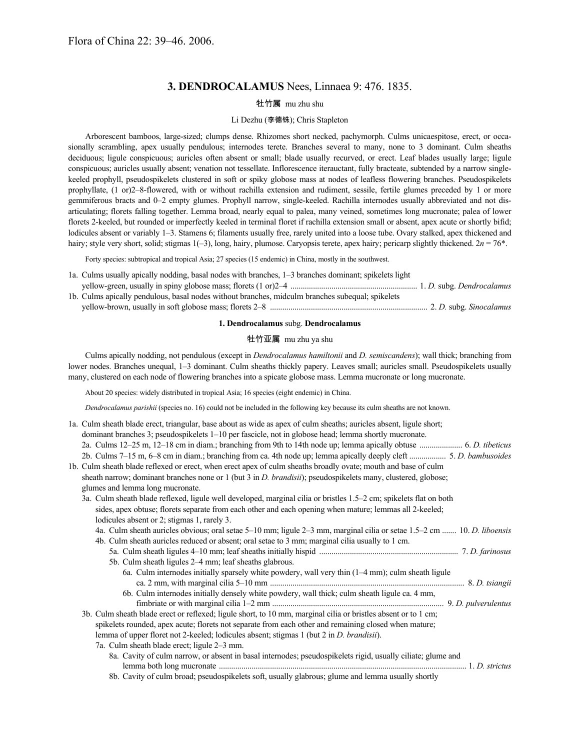# **3. DENDROCALAMUS** Nees, Linnaea 9: 476. 1835.

# 牡竹属 mu zhu shu

# Li Dezhu (李德铢); Chris Stapleton

Arborescent bamboos, large-sized; clumps dense. Rhizomes short necked, pachymorph. Culms unicaespitose, erect, or occasionally scrambling, apex usually pendulous; internodes terete. Branches several to many, none to 3 dominant. Culm sheaths deciduous; ligule conspicuous; auricles often absent or small; blade usually recurved, or erect. Leaf blades usually large; ligule conspicuous; auricles usually absent; venation not tessellate. Inflorescence iterauctant, fully bracteate, subtended by a narrow singlekeeled prophyll, pseudospikelets clustered in soft or spiky globose mass at nodes of leafless flowering branches. Pseudospikelets prophyllate, (1 or)2–8-flowered, with or without rachilla extension and rudiment, sessile, fertile glumes preceded by 1 or more gemmiferous bracts and 0–2 empty glumes. Prophyll narrow, single-keeled. Rachilla internodes usually abbreviated and not disarticulating; florets falling together. Lemma broad, nearly equal to palea, many veined, sometimes long mucronate; palea of lower florets 2-keeled, but rounded or imperfectly keeled in terminal floret if rachilla extension small or absent, apex acute or shortly bifid; lodicules absent or variably 1–3. Stamens 6; filaments usually free, rarely united into a loose tube. Ovary stalked, apex thickened and hairy; style very short, solid; stigmas 1(-3), long, hairy, plumose. Caryopsis terete, apex hairy; pericarp slightly thickened.  $2n = 76*$ .

Forty species: subtropical and tropical Asia; 27 species (15 endemic) in China, mostly in the southwest.

| 1a. Culms usually apically nodding, basal nodes with branches, 1–3 branches dominant; spikelets light |
|-------------------------------------------------------------------------------------------------------|
|                                                                                                       |
| 1b. Culms apically pendulous, basal nodes without branches, midculm branches subequal; spikelets      |

yellow-brown, usually in soft globose mass; florets 2–8 ............................................................................. 2. *D.* subg. *Sinocalamus*

# **1. Dendrocalamus** subg. **Dendrocalamus**

# 牡竹亚属 mu zhu ya shu

Culms apically nodding, not pendulous (except in *Dendrocalamus hamiltonii* and *D. semiscandens*); wall thick; branching from lower nodes. Branches unequal, 1–3 dominant. Culm sheaths thickly papery. Leaves small; auricles small. Pseudospikelets usually many, clustered on each node of flowering branches into a spicate globose mass. Lemma mucronate or long mucronate.

About 20 species: widely distributed in tropical Asia; 16 species (eight endemic) in China.

*Dendrocalamus parishii* (species no. 16) could not be included in the following key because its culm sheaths are not known.

|  | 1a. Culm sheath blade erect, triangular, base about as wide as apex of culm sheaths; auricles absent, ligule short;     |  |
|--|-------------------------------------------------------------------------------------------------------------------------|--|
|  | dominant branches 3; pseudospikelets 1–10 per fascicle, not in globose head; lemma shortly mucronate.                   |  |
|  | 2a. Culms 12–25 m, 12–18 cm in diam.; branching from 9th to 14th node up; lemma apically obtuse  6. D. tibeticus        |  |
|  |                                                                                                                         |  |
|  | 1b. Culm sheath blade reflexed or erect, when erect apex of culm sheaths broadly ovate; mouth and base of culm          |  |
|  | sheath narrow; dominant branches none or 1 (but 3 in <i>D. brandisii</i> ); pseudospikelets many, clustered, globose;   |  |
|  | glumes and lemma long mucronate.                                                                                        |  |
|  | 3a. Culm sheath blade reflexed, ligule well developed, marginal cilia or bristles 1.5–2 cm; spikelets flat on both      |  |
|  | sides, apex obtuse; florets separate from each other and each opening when mature; lemmas all 2-keeled;                 |  |
|  | lodicules absent or 2; stigmas 1, rarely 3.                                                                             |  |
|  | 4a. Culm sheath auricles obvious; oral setae 5–10 mm; ligule 2–3 mm, marginal cilia or setae 1.5–2 cm  10. D. liboensis |  |
|  | 4b. Culm sheath auricles reduced or absent; oral setae to 3 mm; marginal cilia usually to 1 cm.                         |  |
|  |                                                                                                                         |  |
|  | 5b. Culm sheath ligules 2–4 mm; leaf sheaths glabrous.                                                                  |  |
|  | 6a. Culm internodes initially sparsely white powdery, wall very thin $(1-4$ mm); culm sheath ligule                     |  |
|  |                                                                                                                         |  |
|  | 6b. Culm internodes initially densely white powdery, wall thick; culm sheath ligule ca. 4 mm,                           |  |
|  |                                                                                                                         |  |
|  | 3b. Culm sheath blade erect or reflexed; ligule short, to 10 mm, marginal cilia or bristles absent or to 1 cm;          |  |
|  | spikelets rounded, apex acute; florets not separate from each other and remaining closed when mature;                   |  |
|  | lemma of upper floret not 2-keeled; lodicules absent; stigmas 1 (but 2 in D. brandisii).                                |  |
|  | 7a. Culm sheath blade erect; ligule 2–3 mm.                                                                             |  |
|  | 8a. Cavity of culm narrow, or absent in basal internodes; pseudospikelets rigid, usually ciliate; glume and             |  |
|  |                                                                                                                         |  |
|  | 8b. Cavity of culm broad; pseudospikelets soft, usually glabrous; glume and lemma usually shortly                       |  |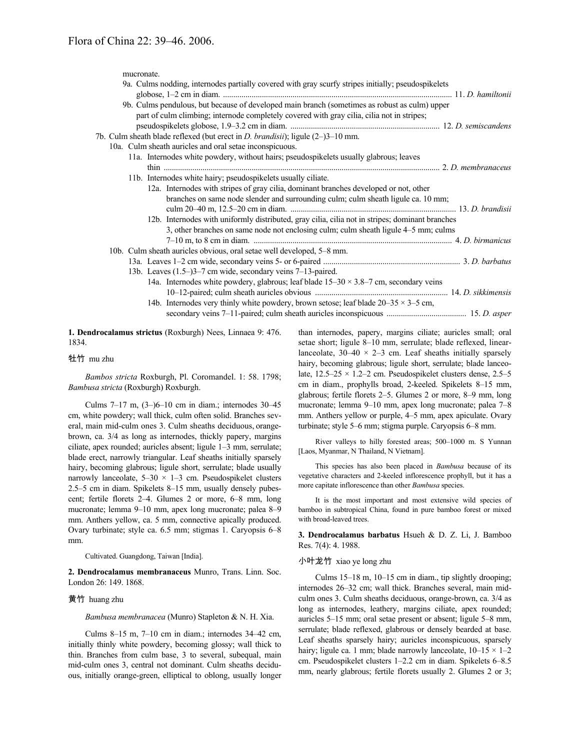mucronate.

|  | 9a. Culms nodding, internodes partially covered with gray scurfy stripes initially; pseudospikelets |  |
|--|-----------------------------------------------------------------------------------------------------|--|
|  | 9b. Culms pendulous, but because of developed main branch (sometimes as robust as culm) upper       |  |
|  | part of culm climbing; internode completely covered with gray cilia, cilia not in stripes;          |  |
|  |                                                                                                     |  |
|  | 7b. Culm sheath blade reflexed (but erect in <i>D. brandisii</i> ); ligule (2–)3–10 mm.             |  |
|  | 10a. Culm sheath auricles and oral setae inconspicuous.                                             |  |
|  | 11a. Internodes white powdery, without hairs; pseudospikelets usually glabrous; leaves              |  |
|  |                                                                                                     |  |
|  | 11b. Internodes white hairy; pseudospikelets usually ciliate.                                       |  |
|  | 12a. Internodes with stripes of gray cilia, dominant branches developed or not, other               |  |
|  | branches on same node slender and surrounding culm; culm sheath ligule ca. 10 mm;                   |  |
|  |                                                                                                     |  |
|  | 12b. Internodes with uniformly distributed, gray cilia, cilia not in stripes; dominant branches     |  |
|  | 3, other branches on same node not enclosing culm; culm sheath ligule 4–5 mm; culms                 |  |
|  |                                                                                                     |  |
|  | 10b. Culm sheath auricles obvious, oral setae well developed, 5–8 mm.                               |  |
|  |                                                                                                     |  |
|  | 13b. Leaves (1.5–)3–7 cm wide, secondary veins 7–13-paired.                                         |  |
|  | 14a. Internodes white powdery, glabrous; leaf blade $15-30 \times 3.8-7$ cm, secondary veins        |  |
|  |                                                                                                     |  |
|  | 14b. Internodes very thinly white powdery, brown setose; leaf blade $20-35 \times 3-5$ cm,          |  |
|  |                                                                                                     |  |
|  |                                                                                                     |  |

**1. Dendrocalamus strictus** (Roxburgh) Nees, Linnaea 9: 476. 1834.

牡竹 mu zhu

*Bambos stricta* Roxburgh, Pl. Coromandel. 1: 58. 1798; *Bambusa stricta* (Roxburgh) Roxburgh.

Culms 7–17 m, (3–)6–10 cm in diam.; internodes 30–45 cm, white powdery; wall thick, culm often solid. Branches several, main mid-culm ones 3. Culm sheaths deciduous, orangebrown, ca. 3/4 as long as internodes, thickly papery, margins ciliate, apex rounded; auricles absent; ligule 1–3 mm, serrulate; blade erect, narrowly triangular. Leaf sheaths initially sparsely hairy, becoming glabrous; ligule short, serrulate; blade usually narrowly lanceolate,  $5-30 \times 1-3$  cm. Pseudospikelet clusters 2.5–5 cm in diam. Spikelets 8–15 mm, usually densely pubescent; fertile florets 2–4. Glumes 2 or more, 6–8 mm, long mucronate; lemma 9–10 mm, apex long mucronate; palea 8–9 mm. Anthers yellow, ca. 5 mm, connective apically produced. Ovary turbinate; style ca. 6.5 mm; stigmas 1. Caryopsis 6–8 mm.

Cultivated. Guangdong, Taiwan [India].

**2. Dendrocalamus membranaceus** Munro, Trans. Linn. Soc. London 26: 149. 1868.

#### 黄竹 huang zhu

*Bambusa membranacea* (Munro) Stapleton & N. H. Xia.

Culms 8–15 m, 7–10 cm in diam.; internodes 34–42 cm, initially thinly white powdery, becoming glossy; wall thick to thin. Branches from culm base, 3 to several, subequal, main mid-culm ones 3, central not dominant. Culm sheaths deciduous, initially orange-green, elliptical to oblong, usually longer than internodes, papery, margins ciliate; auricles small; oral setae short; ligule 8–10 mm, serrulate; blade reflexed, linearlanceolate,  $30-40 \times 2-3$  cm. Leaf sheaths initially sparsely hairy, becoming glabrous; ligule short, serrulate; blade lanceolate, 12.5–25 × 1.2–2 cm. Pseudospikelet clusters dense, 2.5–5 cm in diam., prophylls broad, 2-keeled. Spikelets 8–15 mm, glabrous; fertile florets 2–5. Glumes 2 or more, 8–9 mm, long mucronate; lemma 9–10 mm, apex long mucronate; palea 7–8 mm. Anthers yellow or purple, 4–5 mm, apex apiculate. Ovary turbinate; style 5–6 mm; stigma purple. Caryopsis 6–8 mm.

River valleys to hilly forested areas; 500–1000 m. S Yunnan [Laos, Myanmar, N Thailand, N Vietnam].

This species has also been placed in *Bambusa* because of its vegetative characters and 2-keeled inflorescence prophyll, but it has a more capitate inflorescence than other *Bambusa* species.

It is the most important and most extensive wild species of bamboo in subtropical China, found in pure bamboo forest or mixed with broad-leaved trees.

**3. Dendrocalamus barbatus** Hsueh & D. Z. Li, J. Bamboo Res. 7(4): 4. 1988.

# 小叶龙竹 xiao ye long zhu

Culms 15–18 m, 10–15 cm in diam., tip slightly drooping; internodes 26–32 cm; wall thick. Branches several, main midculm ones 3. Culm sheaths deciduous, orange-brown, ca. 3/4 as long as internodes, leathery, margins ciliate, apex rounded; auricles 5–15 mm; oral setae present or absent; ligule 5–8 mm, serrulate; blade reflexed, glabrous or densely bearded at base. Leaf sheaths sparsely hairy; auricles inconspicuous, sparsely hairy; ligule ca. 1 mm; blade narrowly lanceolate,  $10-15 \times 1-2$ cm. Pseudospikelet clusters 1–2.2 cm in diam. Spikelets 6–8.5 mm, nearly glabrous; fertile florets usually 2. Glumes 2 or 3;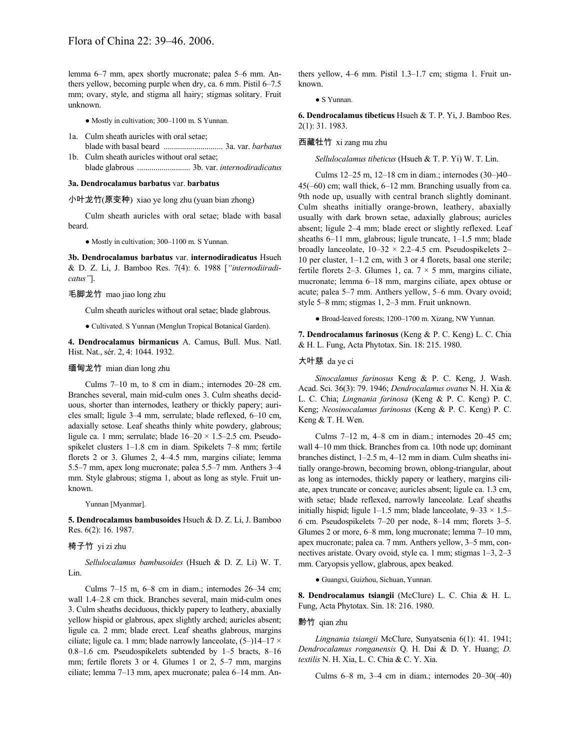lemma 6–7 mm, apex shortly mucronate; palea 5–6 mm. Anthers yellow, becoming purple when dry, ca. 6 mm. Pistil 6–7.5 mm; ovary, style, and stigma all hairy; stigmas solitary. Fruit unknown.

● Mostly in cultivation; 300–1100 m. S Yunnan.

- 1a. Culm sheath auricles with oral setae; blade with basal beard ............................. 3a. var. *barbatus* 1b. Culm sheath auricles without oral setae;
- blade glabrous .......................... 3b. var. *internodiradicatus*

### **3a. Dendrocalamus barbatus** var. **barbatus**

小叶龙竹(原变种) xiao ye long zhu (yuan bian zhong)

Culm sheath auricles with oral setae; blade with basal beard.

● Mostly in cultivation; 300–1100 m. S Yunnan.

**3b. Dendrocalamus barbatus** var. **internodiradicatus** Hsueh & D. Z. Li, J. Bamboo Res. 7(4): 6. 1988 [*"internodiiradicatus"*].

#### 毛脚龙竹 mao jiao long zhu

Culm sheath auricles without oral setae; blade glabrous.

● Cultivated. S Yunnan (Menglun Tropical Botanical Garden).

**4. Dendrocalamus birmanicus** A. Camus, Bull. Mus. Natl. Hist. Nat., sér. 2, 4: 1044. 1932.

### 缅甸龙竹 mian dian long zhu

Culms 7–10 m, to 8 cm in diam.; internodes 20–28 cm. Branches several, main mid-culm ones 3. Culm sheaths deciduous, shorter than internodes, leathery or thickly papery; auricles small; ligule 3–4 mm, serrulate; blade reflexed, 6–10 cm, adaxially setose. Leaf sheaths thinly white powdery, glabrous; ligule ca. 1 mm; serrulate; blade 16–20 × 1.5–2.5 cm. Pseudospikelet clusters 1–1.8 cm in diam. Spikelets 7–8 mm; fertile florets 2 or 3. Glumes 2, 4–4.5 mm, margins ciliate; lemma 5.5–7 mm, apex long mucronate; palea 5.5–7 mm. Anthers 3–4 mm. Style glabrous; stigma 1, about as long as style. Fruit unknown.

Yunnan [Myanmar].

**5. Dendrocalamus bambusoides** Hsueh & D. Z. Li, J. Bamboo Res. 6(2): 16. 1987.

#### 椅子竹 yi zi zhu

*Sellulocalamus bambusoides* (Hsueh & D. Z. Li) W. T. Lin.

Culms 7–15 m, 6–8 cm in diam.; internodes 26–34 cm; wall 1.4–2.8 cm thick. Branches several, main mid-culm ones 3. Culm sheaths deciduous, thickly papery to leathery, abaxially yellow hispid or glabrous, apex slightly arched; auricles absent; ligule ca. 2 mm; blade erect. Leaf sheaths glabrous, margins ciliate; ligule ca. 1 mm; blade narrowly lanceolate, (5–)14–17 × 0.8–1.6 cm. Pseudospikelets subtended by 1–5 bracts, 8–16 mm; fertile florets 3 or 4. Glumes 1 or 2, 5–7 mm, margins ciliate; lemma 7–13 mm, apex mucronate; palea 6–14 mm. Anthers yellow, 4–6 mm. Pistil 1.3–1.7 cm; stigma 1. Fruit unknown.

● S Yunnan.

**6. Dendrocalamus tibeticus** Hsueh & T. P. Yi, J. Bamboo Res. 2(1): 31. 1983.

#### 西藏牡竹 xi zang mu zhu

*Sellulocalamus tibeticus* (Hsueh & T. P. Yi) W. T. Lin.

Culms 12–25 m, 12–18 cm in diam.; internodes (30–)40– 45(–60) cm; wall thick, 6–12 mm. Branching usually from ca. 9th node up, usually with central branch slightly dominant. Culm sheaths initially orange-brown, leathery, abaxially usually with dark brown setae, adaxially glabrous; auricles absent; ligule 2–4 mm; blade erect or slightly reflexed. Leaf sheaths 6–11 mm, glabrous; ligule truncate, 1–1.5 mm; blade broadly lanceolate,  $10-32 \times 2.2-4.5$  cm. Pseudospikelets 2-10 per cluster, 1–1.2 cm, with 3 or 4 florets, basal one sterile; fertile florets 2–3. Glumes 1, ca.  $7 \times 5$  mm, margins ciliate, mucronate; lemma 6–18 mm, margins ciliate, apex obtuse or acute; palea 5–7 mm. Anthers yellow, 5–6 mm. Ovary ovoid; style 5–8 mm; stigmas 1, 2–3 mm. Fruit unknown.

● Broad-leaved forests; 1200–1700 m. Xizang, NW Yunnan.

**7. Dendrocalamus farinosus** (Keng & P. C. Keng) L. C. Chia & H. L. Fung, Acta Phytotax. Sin. 18: 215. 1980.

#### 大叶慈 da ye ci

*Sinocalamus farinosus* Keng & P. C. Keng, J. Wash. Acad. Sci. 36(3): 79. 1946; *Dendrocalamus ovatus* N. H. Xia & L. C. Chia; *Lingnania farinosa* (Keng & P. C. Keng) P. C. Keng; *Neosinocalamus farinosus* (Keng & P. C. Keng) P. C. Keng & T. H. Wen.

Culms 7–12 m, 4–8 cm in diam.; internodes 20–45 cm; wall 4–10 mm thick. Branches from ca. 10th node up; dominant branches distinct, 1–2.5 m, 4–12 mm in diam. Culm sheaths initially orange-brown, becoming brown, oblong-triangular, about as long as internodes, thickly papery or leathery, margins ciliate, apex truncate or concave; auricles absent; ligule ca. 1.3 cm, with setae; blade reflexed, narrowly lanceolate. Leaf sheaths initially hispid; ligule 1–1.5 mm; blade lanceolate,  $9-33 \times 1.5-$ 6 cm. Pseudospikelets 7–20 per node, 8–14 mm; florets 3–5. Glumes 2 or more, 6–8 mm, long mucronate; lemma 7–10 mm, apex mucronate; palea ca. 7 mm. Anthers yellow, 3–5 mm, connectives aristate. Ovary ovoid, style ca. 1 mm; stigmas 1–3, 2–3 mm. Caryopsis yellow, glabrous, apex beaked.

● Guangxi, Guizhou, Sichuan, Yunnan.

**8. Dendrocalamus tsiangii** (McClure) L. C. Chia & H. L. Fung, Acta Phytotax. Sin. 18: 216. 1980.

#### 黔竹 qian zhu

*Lingnania tsiangii* McClure, Sunyatsenia 6(1): 41. 1941; *Dendrocalamus ronganensis* Q. H. Dai & D. Y. Huang; *D. textilis* N. H. Xia, L. C. Chia & C. Y. Xia.

Culms 6–8 m, 3–4 cm in diam.; internodes 20–30(–40)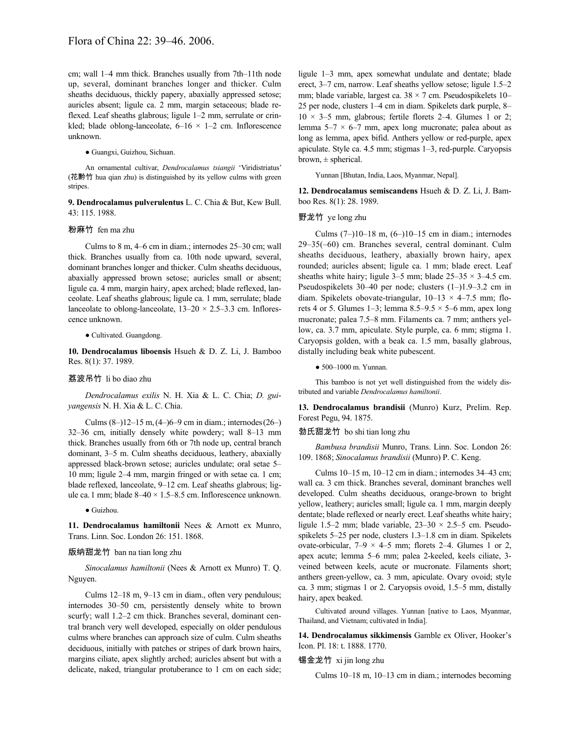cm; wall 1–4 mm thick. Branches usually from 7th–11th node up, several, dominant branches longer and thicker. Culm sheaths deciduous, thickly papery, abaxially appressed setose; auricles absent; ligule ca. 2 mm, margin setaceous; blade reflexed. Leaf sheaths glabrous; ligule 1–2 mm, serrulate or crinkled; blade oblong-lanceolate,  $6-16 \times 1-2$  cm. Inflorescence unknown.

● Guangxi, Guizhou, Sichuan.

An ornamental cultivar, *Dendrocalamus tsiangii* 'Viridistriatus' (花黔竹 hua qian zhu) is distinguished by its yellow culms with green stripes.

**9. Dendrocalamus pulverulentus** L. C. Chia & But, Kew Bull. 43: 115. 1988.

#### 粉麻竹 fen ma zhu

Culms to 8 m, 4–6 cm in diam.; internodes 25–30 cm; wall thick. Branches usually from ca. 10th node upward, several, dominant branches longer and thicker. Culm sheaths deciduous, abaxially appressed brown setose; auricles small or absent; ligule ca. 4 mm, margin hairy, apex arched; blade reflexed, lanceolate. Leaf sheaths glabrous; ligule ca. 1 mm, serrulate; blade lanceolate to oblong-lanceolate,  $13-20 \times 2.5-3.3$  cm. Inflorescence unknown.

● Cultivated. Guangdong.

**10. Dendrocalamus liboensis** Hsueh & D. Z. Li, J. Bamboo Res. 8(1): 37. 1989.

#### 荔波吊竹 li bo diao zhu

*Dendrocalamus exilis* N. H. Xia & L. C. Chia; *D. guiyangensis* N. H. Xia & L. C. Chia.

Culms (8–)12–15 m,(4–)6–9 cm in diam.; internodes(26–) 32–36 cm, initially densely white powdery; wall 8–13 mm thick. Branches usually from 6th or 7th node up, central branch dominant, 3–5 m. Culm sheaths deciduous, leathery, abaxially appressed black-brown setose; auricles undulate; oral setae 5– 10 mm; ligule 2–4 mm, margin fringed or with setae ca. 1 cm; blade reflexed, lanceolate, 9–12 cm. Leaf sheaths glabrous; ligule ca.1 mm; blade 8–40 × 1.5–8.5 cm. Inflorescence unknown.

● Guizhou.

**11. Dendrocalamus hamiltonii** Nees & Arnott ex Munro, Trans. Linn. Soc. London 26: 151. 1868.

### 版纳甜龙竹 ban na tian long zhu

*Sinocalamus hamiltonii* (Nees & Arnott ex Munro) T. Q. Nguyen.

Culms 12–18 m, 9–13 cm in diam., often very pendulous; internodes 30–50 cm, persistently densely white to brown scurfy; wall 1.2–2 cm thick. Branches several, dominant central branch very well developed, especially on older pendulous culms where branches can approach size of culm. Culm sheaths deciduous, initially with patches or stripes of dark brown hairs, margins ciliate, apex slightly arched; auricles absent but with a delicate, naked, triangular protuberance to 1 cm on each side; ligule 1–3 mm, apex somewhat undulate and dentate; blade erect, 3–7 cm, narrow. Leaf sheaths yellow setose; ligule 1.5–2 mm; blade variable, largest ca.  $38 \times 7$  cm. Pseudospikelets 10– 25 per node, clusters 1–4 cm in diam. Spikelets dark purple, 8–  $10 \times 3-5$  mm, glabrous; fertile florets 2-4. Glumes 1 or 2; lemma  $5-7 \times 6-7$  mm, apex long mucronate; palea about as long as lemma, apex bifid. Anthers yellow or red-purple, apex apiculate. Style ca. 4.5 mm; stigmas 1–3, red-purple. Caryopsis brown,  $\pm$  spherical.

Yunnan [Bhutan, India, Laos, Myanmar, Nepal].

**12. Dendrocalamus semiscandens** Hsueh & D. Z. Li, J. Bamboo Res. 8(1): 28. 1989.

# 野龙竹 ye long zhu

Culms (7–)10–18 m, (6–)10–15 cm in diam.; internodes 29–35(–60) cm. Branches several, central dominant. Culm sheaths deciduous, leathery, abaxially brown hairy, apex rounded; auricles absent; ligule ca. 1 mm; blade erect. Leaf sheaths white hairy; ligule 3–5 mm; blade  $25-35 \times 3-4.5$  cm. Pseudospikelets 30–40 per node; clusters (1–)1.9–3.2 cm in diam. Spikelets obovate-triangular,  $10-13 \times 4-7.5$  mm; florets 4 or 5. Glumes 1–3; lemma  $8.5-9.5 \times 5-6$  mm, apex long mucronate; palea 7.5–8 mm. Filaments ca. 7 mm; anthers yellow, ca. 3.7 mm, apiculate. Style purple, ca. 6 mm; stigma 1. Caryopsis golden, with a beak ca. 1.5 mm, basally glabrous, distally including beak white pubescent.

● 500–1000 m. Yunnan.

This bamboo is not yet well distinguished from the widely distributed and variable *Dendrocalamus hamiltonii*.

**13. Dendrocalamus brandisii** (Munro) Kurz, Prelim. Rep. Forest Pegu, 94. 1875.

勃氏甜龙竹 bo shi tian long zhu

*Bambusa brandisii* Munro, Trans. Linn. Soc. London 26: 109. 1868; *Sinocalamus brandisii* (Munro) P. C. Keng.

Culms 10–15 m, 10–12 cm in diam.; internodes 34–43 cm; wall ca. 3 cm thick. Branches several, dominant branches well developed. Culm sheaths deciduous, orange-brown to bright yellow, leathery; auricles small; ligule ca. 1 mm, margin deeply dentate; blade reflexed or nearly erect. Leaf sheaths white hairy; ligule 1.5–2 mm; blade variable,  $23-30 \times 2.5$  cm. Pseudospikelets 5–25 per node, clusters 1.3–1.8 cm in diam. Spikelets ovate-orbicular,  $7-9 \times 4-5$  mm; florets 2-4. Glumes 1 or 2, apex acute; lemma 5–6 mm; palea 2-keeled, keels ciliate, 3 veined between keels, acute or mucronate. Filaments short; anthers green-yellow, ca. 3 mm, apiculate. Ovary ovoid; style ca. 3 mm; stigmas 1 or 2. Caryopsis ovoid, 1.5–5 mm, distally hairy, apex beaked.

Cultivated around villages. Yunnan [native to Laos, Myanmar, Thailand, and Vietnam; cultivated in India].

**14. Dendrocalamus sikkimensis** Gamble ex Oliver, Hooker's Icon. Pl. 18: t. 1888. 1770.

# 锡金龙竹 xi jin long zhu

Culms 10–18 m, 10–13 cm in diam.; internodes becoming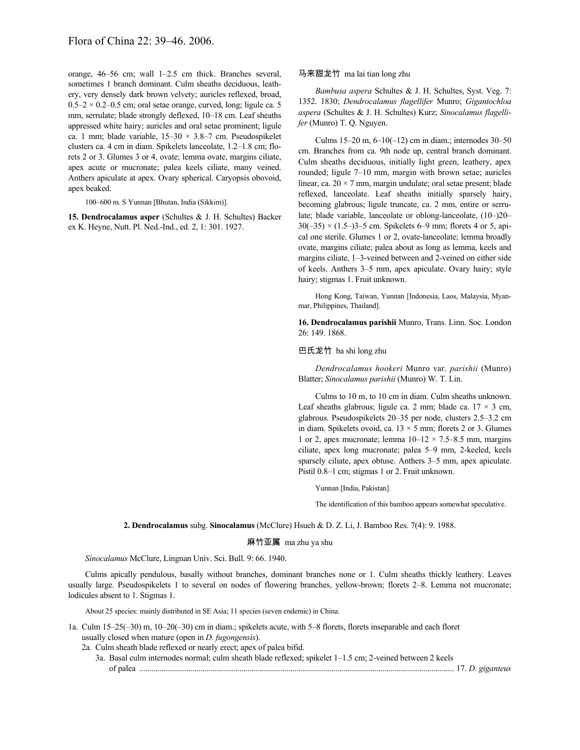orange, 46–56 cm; wall 1–2.5 cm thick. Branches several, sometimes 1 branch dominant. Culm sheaths deciduous, leathery, very densely dark brown velvety; auricles reflexed, broad,  $0.5-2 \times 0.2-0.5$  cm; oral setae orange, curved, long; ligule ca. 5 mm, serrulate; blade strongly deflexed, 10–18 cm. Leaf sheaths appressed white hairy; auricles and oral setae prominent; ligule ca. 1 mm; blade variable,  $15-30 \times 3.8-7$  cm. Pseudospikelet clusters ca. 4 cm in diam. Spikelets lanceolate, 1.2–1.8 cm; florets 2 or 3. Glumes 3 or 4, ovate; lemma ovate, margins ciliate, apex acute or mucronate; palea keels ciliate, many veined. Anthers apiculate at apex. Ovary spherical. Caryopsis obovoid, apex beaked.

100–600 m. S Yunnan [Bhutan, India (Sikkim)].

**15. Dendrocalamus asper** (Schultes & J. H. Schultes) Backer ex K. Heyne, Nutt. Pl. Ned.-Ind., ed. 2, 1: 301. 1927.

# 马来甜龙竹 ma lai tian long zhu

*Bambusa aspera* Schultes & J. H. Schultes, Syst. Veg. 7: 1352. 1830; *Dendrocalamus flagellifer* Munro; *Gigantochloa aspera* (Schultes & J. H. Schultes) Kurz; *Sinocalamus flagellifer* (Munro) T. Q. Nguyen.

Culms 15–20 m, 6–10(–12) cm in diam.; internodes 30–50 cm. Branches from ca. 9th node up, central branch dominant. Culm sheaths deciduous, initially light green, leathery, apex rounded; ligule 7–10 mm, margin with brown setae; auricles linear, ca. 20 × 7 mm, margin undulate; oral setae present; blade reflexed, lanceolate. Leaf sheaths initially sparsely hairy, becoming glabrous; ligule truncate, ca. 2 mm, entire or serrulate; blade variable, lanceolate or oblong-lanceolate, (10–)20–  $30(-35) \times (1.5-3) - 5$  cm. Spikelets 6–9 mm; florets 4 or 5, apical one sterile. Glumes 1 or 2, ovate-lanceolate; lemma broadly ovate, margins ciliate; palea about as long as lemma, keels and margins ciliate, 1–3-veined between and 2-veined on either side of keels. Anthers 3–5 mm, apex apiculate. Ovary hairy; style hairy; stigmas 1. Fruit unknown.

Hong Kong, Taiwan, Yunnan [Indonesia, Laos, Malaysia, Myanmar, Philippines, Thailand].

**16. Dendrocalamus parishii** Munro, Trans. Linn. Soc. London 26: 149. 1868.

### 巴氏龙竹 ba shi long zhu

*Dendrocalamus hookeri* Munro var. *parishii* (Munro) Blatter; *Sinocalamus parishii* (Munro) W. T. Lin.

Culms to 10 m, to 10 cm in diam. Culm sheaths unknown. Leaf sheaths glabrous; ligule ca. 2 mm; blade ca.  $17 \times 3$  cm, glabrous. Pseudospikelets 20–35 per node, clusters 2.5–3.2 cm in diam. Spikelets ovoid, ca.  $13 \times 5$  mm; florets 2 or 3. Glumes 1 or 2, apex mucronate; lemma  $10-12 \times 7.5-8.5$  mm, margins ciliate, apex long mucronate; palea 5–9 mm, 2-keeled, keels sparsely ciliate, apex obtuse. Anthers 3–5 mm, apex apiculate. Pistil 0.8–1 cm; stigmas 1 or 2. Fruit unknown.

Yunnan [India, Pakistan].

The identification of this bamboo appears somewhat speculative.

**2. Dendrocalamus** subg. **Sinocalamus** (McClure) Hsueh & D. Z. Li, J. Bamboo Res. 7(4): 9. 1988.

### 麻竹亚属 ma zhu ya shu

*Sinocalamus* McClure, Lingnan Univ. Sci. Bull. 9: 66. 1940.

Culms apically pendulous, basally without branches, dominant branches none or 1. Culm sheaths thickly leathery. Leaves usually large. Pseudospikelets 1 to several on nodes of flowering branches, yellow-brown; florets 2–8. Lemma not mucronate; lodicules absent to 1. Stigmas 1.

About 25 species: mainly distributed in SE Asia; 11 species (seven endemic) in China.

1a. Culm 15–25(–30) m, 10–20(–30) cm in diam.; spikelets acute, with 5–8 florets, florets inseparable and each floret usually closed when mature (open in *D. fugongensis*).

2a. Culm sheath blade reflexed or nearly erect; apex of palea bifid.

3a. Basal culm internodes normal; culm sheath blade reflexed; spikelet 1–1.5 cm; 2-veined between 2 keels of palea .......................................................................................................................................................... 17. *D. giganteus*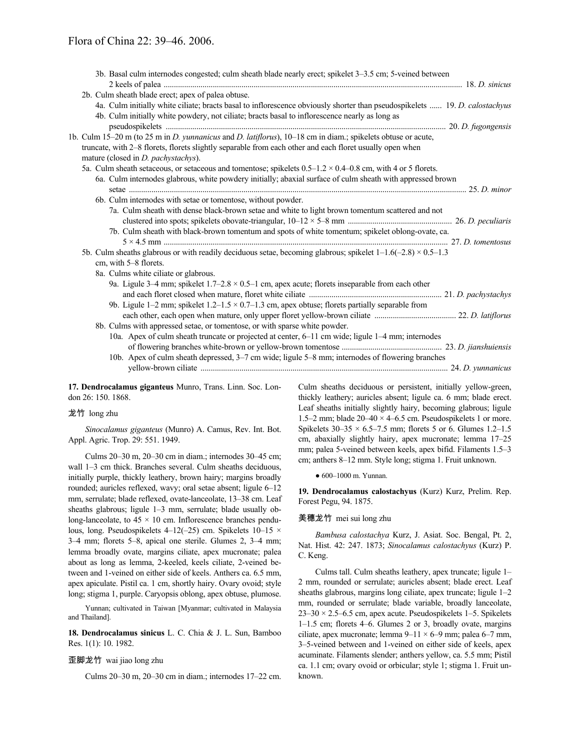| 3b. Basal culm internodes congested; culm sheath blade nearly erect; spikelet 3–3.5 cm; 5-veined between                                                |  |
|---------------------------------------------------------------------------------------------------------------------------------------------------------|--|
| 2b. Culm sheath blade erect; apex of palea obtuse.                                                                                                      |  |
| 4a. Culm initially white ciliate; bracts basal to inflorescence obviously shorter than pseudospikelets  19. D. calostachyus                             |  |
| 4b. Culm initially white powdery, not ciliate; bracts basal to inflorescence nearly as long as                                                          |  |
|                                                                                                                                                         |  |
| 1b. Culm 15–20 m (to 25 m in <i>D. yunnanicus</i> and <i>D. latiflorus</i> ), 10–18 cm in diam.; spikelets obtuse or acute,                             |  |
| truncate, with 2–8 florets, florets slightly separable from each other and each floret usually open when<br>mature (closed in <i>D. pachystachys</i> ). |  |
| 5a. Culm sheath setaceous, or setaceous and tomentose; spikelets $0.5-1.2 \times 0.4-0.8$ cm, with 4 or 5 florets.                                      |  |
| 6a. Culm internodes glabrous, white powdery initially; abaxial surface of culm sheath with appressed brown                                              |  |
|                                                                                                                                                         |  |
| 6b. Culm internodes with setae or tomentose, without powder.                                                                                            |  |
| 7a. Culm sheath with dense black-brown setae and white to light brown tomentum scattered and not                                                        |  |
|                                                                                                                                                         |  |
| 7b. Culm sheath with black-brown tomentum and spots of white tomentum; spikelet oblong-ovate, ca.                                                       |  |
| 5b. Culm sheaths glabrous or with readily deciduous setae, becoming glabrous; spikelet $1-1.6(-2.8) \times 0.5-1.3$<br>cm, with 5–8 florets.            |  |
| 8a. Culms white ciliate or glabrous.                                                                                                                    |  |
| 9a. Ligule 3–4 mm; spikelet $1.7$ –2.8 $\times$ 0.5–1 cm, apex acute; florets inseparable from each other                                               |  |
| 9b. Ligule 1–2 mm; spikelet $1.2-1.5 \times 0.7-1.3$ cm, apex obtuse; florets partially separable from                                                  |  |
|                                                                                                                                                         |  |
| 8b. Culms with appressed setae, or tomentose, or with sparse white powder.                                                                              |  |
| 10a. Apex of culm sheath truncate or projected at center, 6–11 cm wide; ligule 1–4 mm; internodes                                                       |  |
| 10b. Apex of culm sheath depressed, 3–7 cm wide; ligule 5–8 mm; internodes of flowering branches                                                        |  |
|                                                                                                                                                         |  |
|                                                                                                                                                         |  |

**17. Dendrocalamus giganteus** Munro, Trans. Linn. Soc. London 26: 150. 1868.

# 龙竹 long zhu

*Sinocalamus giganteus* (Munro) A. Camus, Rev. Int. Bot. Appl. Agric. Trop. 29: 551. 1949.

Culms 20–30 m, 20–30 cm in diam.; internodes 30–45 cm; wall 1–3 cm thick. Branches several. Culm sheaths deciduous, initially purple, thickly leathery, brown hairy; margins broadly rounded; auricles reflexed, wavy; oral setae absent; ligule 6–12 mm, serrulate; blade reflexed, ovate-lanceolate, 13–38 cm. Leaf sheaths glabrous; ligule 1–3 mm, serrulate; blade usually oblong-lanceolate, to  $45 \times 10$  cm. Inflorescence branches pendulous, long. Pseudospikelets 4–12(–25) cm. Spikelets 10–15 × 3–4 mm; florets 5–8, apical one sterile. Glumes 2, 3–4 mm; lemma broadly ovate, margins ciliate, apex mucronate; palea about as long as lemma, 2-keeled, keels ciliate, 2-veined between and 1-veined on either side of keels. Anthers ca. 6.5 mm, apex apiculate. Pistil ca. 1 cm, shortly hairy. Ovary ovoid; style long; stigma 1, purple. Caryopsis oblong, apex obtuse, plumose.

Yunnan; cultivated in Taiwan [Myanmar; cultivated in Malaysia and Thailand].

**18. Dendrocalamus sinicus** L. C. Chia & J. L. Sun, Bamboo Res. 1(1): 10. 1982.

### 歪脚龙竹 wai jiao long zhu

Culms 20–30 m, 20–30 cm in diam.; internodes 17–22 cm.

Culm sheaths deciduous or persistent, initially yellow-green, thickly leathery; auricles absent; ligule ca. 6 mm; blade erect. Leaf sheaths initially slightly hairy, becoming glabrous; ligule 1.5–2 mm; blade  $20-40 \times 4-6.5$  cm. Pseudospikelets 1 or more. Spikelets  $30-35 \times 6.5-7.5$  mm; florets 5 or 6. Glumes 1.2-1.5 cm, abaxially slightly hairy, apex mucronate; lemma 17–25 mm; palea 5-veined between keels, apex bifid. Filaments 1.5–3 cm; anthers 8–12 mm. Style long; stigma 1. Fruit unknown.

● 600–1000 m. Yunnan.

**19. Dendrocalamus calostachyus** (Kurz) Kurz, Prelim. Rep. Forest Pegu, 94. 1875.

#### 美穗龙竹 mei sui long zhu

*Bambusa calostachya* Kurz, J. Asiat. Soc. Bengal, Pt. 2, Nat. Hist. 42: 247. 1873; *Sinocalamus calostachyus* (Kurz) P. C. Keng.

Culms tall. Culm sheaths leathery, apex truncate; ligule 1– 2 mm, rounded or serrulate; auricles absent; blade erect. Leaf sheaths glabrous, margins long ciliate, apex truncate; ligule 1–2 mm, rounded or serrulate; blade variable, broadly lanceolate,  $23-30 \times 2.5-6.5$  cm, apex acute. Pseudospikelets 1-5. Spikelets 1–1.5 cm; florets 4–6. Glumes 2 or 3, broadly ovate, margins ciliate, apex mucronate; lemma 9–11 × 6–9 mm; palea 6–7 mm, 3–5-veined between and 1-veined on either side of keels, apex acuminate. Filaments slender; anthers yellow, ca. 5.5 mm; Pistil ca. 1.1 cm; ovary ovoid or orbicular; style 1; stigma 1. Fruit unknown.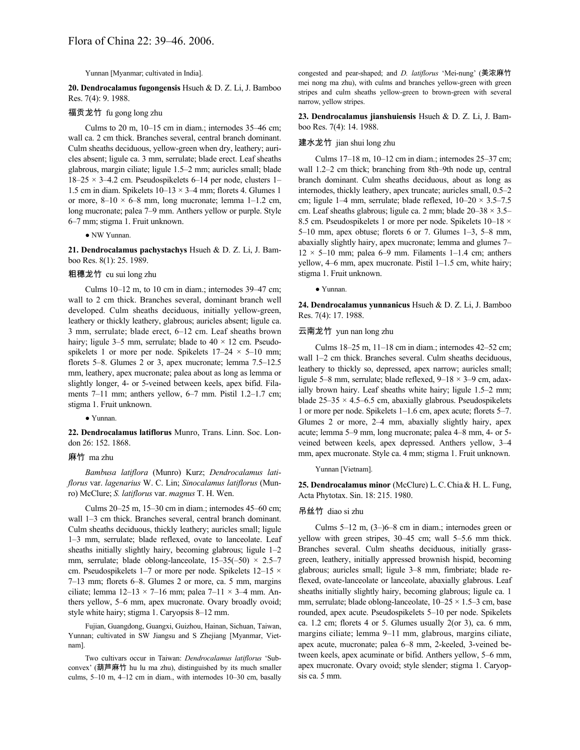Yunnan [Myanmar; cultivated in India].

**20. Dendrocalamus fugongensis** Hsueh & D. Z. Li, J. Bamboo Res. 7(4): 9. 1988.

# 福贡龙竹 fu gong long zhu

Culms to 20 m, 10–15 cm in diam.; internodes 35–46 cm; wall ca. 2 cm thick. Branches several, central branch dominant. Culm sheaths deciduous, yellow-green when dry, leathery; auricles absent; ligule ca. 3 mm, serrulate; blade erect. Leaf sheaths glabrous, margin ciliate; ligule 1.5–2 mm; auricles small; blade  $18-25 \times 3-4.2$  cm. Pseudospikelets 6-14 per node, clusters 1-1.5 cm in diam. Spikelets  $10-13 \times 3-4$  mm; florets 4. Glumes 1 or more,  $8-10 \times 6-8$  mm, long mucronate; lemma 1-1.2 cm, long mucronate; palea 7–9 mm. Anthers yellow or purple. Style 6–7 mm; stigma 1. Fruit unknown.

● NW Yunnan.

**21. Dendrocalamus pachystachys** Hsueh & D. Z. Li, J. Bamboo Res. 8(1): 25. 1989.

# 粗穗龙竹 cu sui long zhu

Culms 10–12 m, to 10 cm in diam.; internodes 39–47 cm; wall to 2 cm thick. Branches several, dominant branch well developed. Culm sheaths deciduous, initially yellow-green, leathery or thickly leathery, glabrous; auricles absent; ligule ca. 3 mm, serrulate; blade erect, 6–12 cm. Leaf sheaths brown hairy; ligule 3–5 mm, serrulate; blade to  $40 \times 12$  cm. Pseudospikelets 1 or more per node. Spikelets  $17-24 \times 5-10$  mm; florets 5–8. Glumes 2 or 3, apex mucronate; lemma 7.5–12.5 mm, leathery, apex mucronate; palea about as long as lemma or slightly longer, 4- or 5-veined between keels, apex bifid. Filaments 7–11 mm; anthers yellow, 6–7 mm. Pistil 1.2–1.7 cm; stigma 1. Fruit unknown.

● Yunnan.

**22. Dendrocalamus latiflorus** Munro, Trans. Linn. Soc. London 26: 152. 1868.

#### 麻竹 ma zhu

*Bambusa latiflora* (Munro) Kurz; *Dendrocalamus latiflorus* var. *lagenarius* W. C. Lin; *Sinocalamus latiflorus* (Munro) McClure; *S. latiflorus* var. *magnus* T. H. Wen.

Culms 20–25 m, 15–30 cm in diam.; internodes 45–60 cm; wall 1–3 cm thick. Branches several, central branch dominant. Culm sheaths deciduous, thickly leathery; auricles small; ligule 1–3 mm, serrulate; blade reflexed, ovate to lanceolate. Leaf sheaths initially slightly hairy, becoming glabrous; ligule 1–2 mm, serrulate; blade oblong-lanceolate,  $15-35(-50) \times 2.5-7$ cm. Pseudospikelets 1–7 or more per node. Spikelets 12–15 × 7–13 mm; florets 6–8. Glumes 2 or more, ca. 5 mm, margins ciliate; lemma  $12-13 \times 7-16$  mm; palea  $7-11 \times 3-4$  mm. Anthers yellow, 5–6 mm, apex mucronate. Ovary broadly ovoid; style white hairy; stigma 1. Caryopsis 8–12 mm.

Fujian, Guangdong, Guangxi, Guizhou, Hainan, Sichuan, Taiwan, Yunnan; cultivated in SW Jiangsu and S Zhejiang [Myanmar, Vietnam].

Two cultivars occur in Taiwan: *Dendrocalamus latiflorus* 'Subconvex' (葫芦麻竹 hu lu ma zhu), distinguished by its much smaller culms, 5–10 m, 4–12 cm in diam., with internodes 10–30 cm, basally congested and pear-shaped; and *D. latiflorus* 'Mei-nung' (美浓麻竹 mei nong ma zhu), with culms and branches yellow-green with green stripes and culm sheaths yellow-green to brown-green with several narrow, yellow stripes.

**23. Dendrocalamus jianshuiensis** Hsueh & D. Z. Li, J. Bamboo Res. 7(4): 14. 1988.

# 建水龙竹 jian shui long zhu

Culms 17–18 m, 10–12 cm in diam.; internodes 25–37 cm; wall 1.2–2 cm thick; branching from 8th–9th node up, central branch dominant. Culm sheaths deciduous, about as long as internodes, thickly leathery, apex truncate; auricles small, 0.5–2 cm; ligule 1–4 mm, serrulate; blade reflexed,  $10-20 \times 3.5-7.5$ cm. Leaf sheaths glabrous; ligule ca. 2 mm; blade 20–38 × 3.5– 8.5 cm. Pseudospikelets 1 or more per node. Spikelets  $10-18 \times$ 5–10 mm, apex obtuse; florets 6 or 7. Glumes 1–3, 5–8 mm, abaxially slightly hairy, apex mucronate; lemma and glumes 7–  $12 \times 5{\text -}10$  mm; palea 6–9 mm. Filaments 1–1.4 cm; anthers yellow, 4–6 mm, apex mucronate. Pistil 1–1.5 cm, white hairy; stigma 1. Fruit unknown.

● Yunnan.

**24. Dendrocalamus yunnanicus** Hsueh & D. Z. Li, J. Bamboo Res. 7(4): 17. 1988.

### 云南龙竹 yun nan long zhu

Culms 18–25 m, 11–18 cm in diam.; internodes 42–52 cm; wall 1–2 cm thick. Branches several. Culm sheaths deciduous, leathery to thickly so, depressed, apex narrow; auricles small; ligule 5–8 mm, serrulate; blade reflexed, 9–18 × 3–9 cm, adaxially brown hairy. Leaf sheaths white hairy; ligule 1.5–2 mm; blade  $25-35 \times 4.5-6.5$  cm, abaxially glabrous. Pseudospikelets 1 or more per node. Spikelets 1–1.6 cm, apex acute; florets 5–7. Glumes 2 or more, 2–4 mm, abaxially slightly hairy, apex acute; lemma 5–9 mm, long mucronate; palea 4–8 mm, 4- or 5 veined between keels, apex depressed. Anthers yellow, 3–4 mm, apex mucronate. Style ca. 4 mm; stigma 1. Fruit unknown.

Yunnan [Vietnam].

**25. Dendrocalamus minor** (McClure) L.C.Chia& H. L. Fung, Acta Phytotax. Sin. 18: 215. 1980.

#### 吊丝竹 diao si zhu

Culms 5–12 m, (3–)6–8 cm in diam.; internodes green or yellow with green stripes, 30–45 cm; wall 5–5.6 mm thick. Branches several. Culm sheaths deciduous, initially grassgreen, leathery, initially appressed brownish hispid, becoming glabrous; auricles small; ligule 3–8 mm, fimbriate; blade reflexed, ovate-lanceolate or lanceolate, abaxially glabrous. Leaf sheaths initially slightly hairy, becoming glabrous; ligule ca. 1 mm, serrulate; blade oblong-lanceolate,  $10-25 \times 1.5-3$  cm, base rounded, apex acute. Pseudospikelets 5–10 per node. Spikelets ca. 1.2 cm; florets 4 or 5. Glumes usually 2(or 3), ca. 6 mm, margins ciliate; lemma 9–11 mm, glabrous, margins ciliate, apex acute, mucronate; palea 6–8 mm, 2-keeled, 3-veined between keels, apex acuminate or bifid. Anthers yellow, 5–6 mm, apex mucronate. Ovary ovoid; style slender; stigma 1. Caryopsis ca. 5 mm.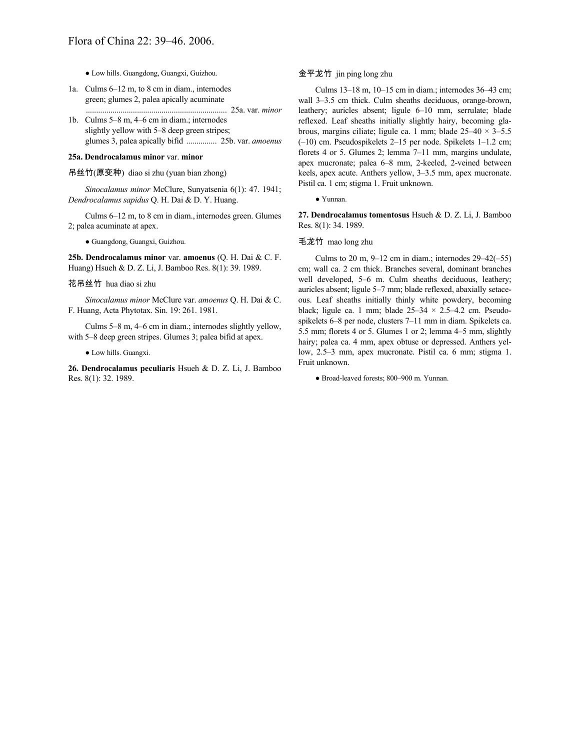● Low hills. Guangdong, Guangxi, Guizhou.

- 1a. Culms 6–12 m, to 8 cm in diam., internodes green; glumes 2, palea apically acuminate
- ..................................................................... 25a. var. *minor* 1b. Culms 5–8 m, 4–6 cm in diam.; internodes slightly yellow with 5–8 deep green stripes; glumes 3, palea apically bifid ............... 25b. var. *amoenus*

#### **25a. Dendrocalamus minor** var. **minor**

吊丝竹(原变种) diao si zhu (yuan bian zhong)

*Sinocalamus minor* McClure, Sunyatsenia 6(1): 47. 1941; *Dendrocalamus sapidus* Q. H. Dai & D. Y. Huang.

Culms 6–12 m, to 8 cm in diam., internodes green. Glumes 2; palea acuminate at apex.

● Guangdong, Guangxi, Guizhou.

**25b. Dendrocalamus minor** var. **amoenus** (Q. H. Dai & C. F. Huang) Hsueh & D. Z. Li, J. Bamboo Res. 8(1): 39. 1989.

### 花吊丝竹 hua diao si zhu

*Sinocalamus minor* McClure var. *amoenus* Q. H. Dai & C. F. Huang, Acta Phytotax. Sin. 19: 261. 1981.

Culms 5–8 m, 4–6 cm in diam.; internodes slightly yellow, with 5–8 deep green stripes. Glumes 3; palea bifid at apex.

● Low hills. Guangxi.

**26. Dendrocalamus peculiaris** Hsueh & D. Z. Li, J. Bamboo Res. 8(1): 32. 1989.

# 金平龙竹 jin ping long zhu

Culms 13–18 m, 10–15 cm in diam.; internodes 36–43 cm; wall 3–3.5 cm thick. Culm sheaths deciduous, orange-brown, leathery; auricles absent; ligule 6–10 mm, serrulate; blade reflexed. Leaf sheaths initially slightly hairy, becoming glabrous, margins ciliate; ligule ca. 1 mm; blade  $25-40 \times 3-5.5$ (–10) cm. Pseudospikelets 2–15 per node. Spikelets 1–1.2 cm; florets 4 or 5. Glumes 2; lemma 7–11 mm, margins undulate, apex mucronate; palea 6–8 mm, 2-keeled, 2-veined between keels, apex acute. Anthers yellow, 3–3.5 mm, apex mucronate. Pistil ca. 1 cm; stigma 1. Fruit unknown.

● Yunnan.

**27. Dendrocalamus tomentosus** Hsueh & D. Z. Li, J. Bamboo Res. 8(1): 34. 1989.

#### 毛龙竹 mao long zhu

Culms to 20 m,  $9-12$  cm in diam.; internodes  $29-42(-55)$ cm; wall ca. 2 cm thick. Branches several, dominant branches well developed, 5–6 m. Culm sheaths deciduous, leathery; auricles absent; ligule 5–7 mm; blade reflexed, abaxially setaceous. Leaf sheaths initially thinly white powdery, becoming black; ligule ca. 1 mm; blade  $25-34 \times 2.5-4.2$  cm. Pseudospikelets 6–8 per node, clusters 7–11 mm in diam. Spikelets ca. 5.5 mm; florets 4 or 5. Glumes 1 or 2; lemma 4–5 mm, slightly hairy; palea ca. 4 mm, apex obtuse or depressed. Anthers yellow, 2.5–3 mm, apex mucronate. Pistil ca. 6 mm; stigma 1. Fruit unknown.

● Broad-leaved forests; 800–900 m. Yunnan.